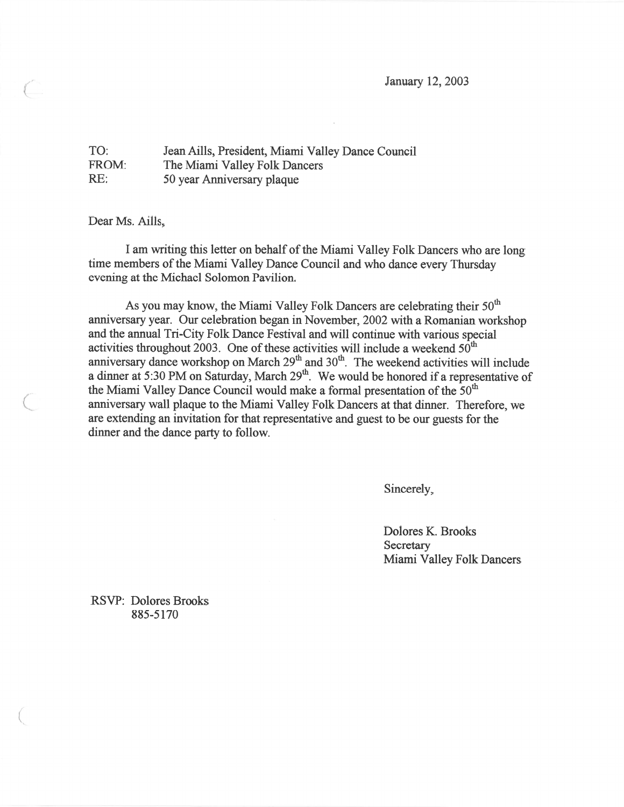January 12,2003

TO: FROM: RE: Jean Aills, President, Miami Valley Dance Council The Miami Valley Folk Dancers 50 year Anniversary plaque

Dear Ms. Aills,

 $\big($ 

(

I am writing this letter on behalf of the Miami Valley Folk Dancers who are long time members of the Miami Valley Dance Council and who dance every Thursday evening at the Michael Solomon Pavilion.

As you may know, the Miami Valley Folk Dancers are celebrating their  $50<sup>th</sup>$ anniversary year. Our celebration began in November, 2002 with <sup>a</sup> Romanian workshop and the annual Tri-City Folk Dance Festival and will continue with various special activities throughout 2003. One of these activities will include a weekend  $50<sup>th</sup>$ anniversary dance workshop on March  $29<sup>th</sup>$  and  $30<sup>th</sup>$ . The weekend activities will include a dinner at 5:30 PM on Saturday, March  $29<sup>th</sup>$ . We would be honored if a representative of the Miami Valley Dance Council would make a formal presentation of the  $50<sup>th</sup>$ anniversary wall plaque to the Miami Valley Folk Dancers at that dinner. Therefore, we are extending an invitation for that representative and gues<sup>t</sup> to be our guests for the dinner and the dance party to follow.

Sincerely,

Dolores K. Brooks Secretary Miami Valley Folk Dancers

RSVP: Dolores Brooks 885-5170